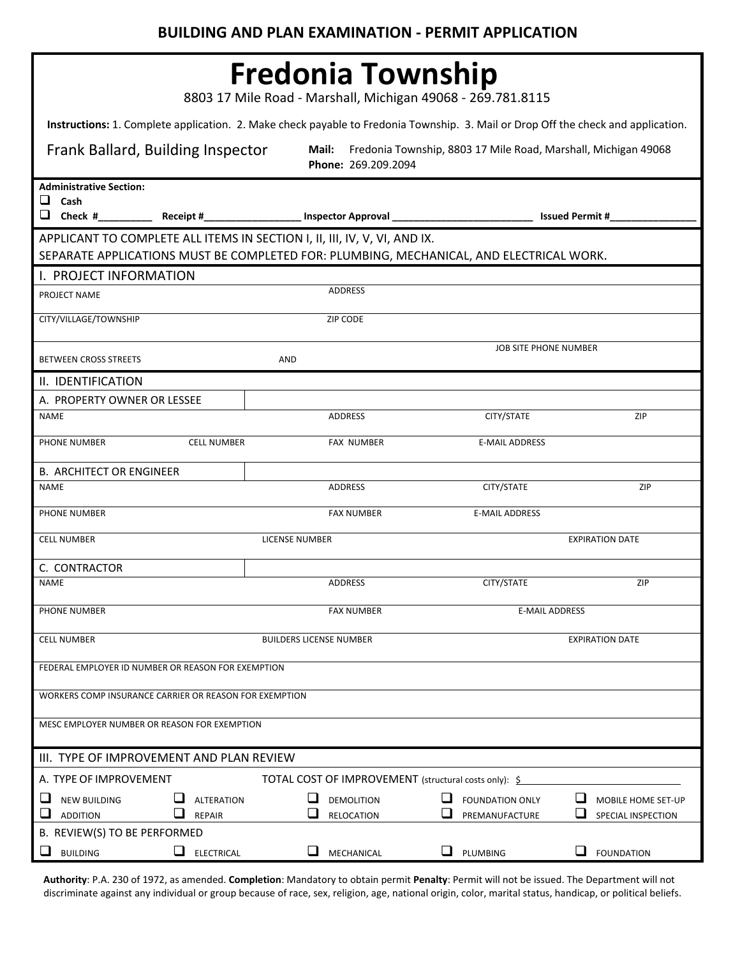| <b>Fredonia Township</b><br>8803 17 Mile Road - Marshall, Michigan 49068 - 269.781.8115                                                                              |                                                          |                                                                                                                                  |                                                                                       |                              |  |  |  |  |  |
|----------------------------------------------------------------------------------------------------------------------------------------------------------------------|----------------------------------------------------------|----------------------------------------------------------------------------------------------------------------------------------|---------------------------------------------------------------------------------------|------------------------------|--|--|--|--|--|
| Instructions: 1. Complete application. 2. Make check payable to Fredonia Township. 3. Mail or Drop Off the check and application.                                    |                                                          |                                                                                                                                  |                                                                                       |                              |  |  |  |  |  |
| Frank Ballard, Building Inspector                                                                                                                                    |                                                          | Mail:                                                                                                                            | Fredonia Township, 8803 17 Mile Road, Marshall, Michigan 49068<br>Phone: 269.209.2094 |                              |  |  |  |  |  |
| <b>Administrative Section:</b><br>⊔<br>Cash                                                                                                                          |                                                          | $\Box$ Check #___________ Receipt #_____________________ Inspector Approval ___________________________________ Issued Permit #_ |                                                                                       |                              |  |  |  |  |  |
| APPLICANT TO COMPLETE ALL ITEMS IN SECTION I, II, III, IV, V, VI, AND IX.<br>SEPARATE APPLICATIONS MUST BE COMPLETED FOR: PLUMBING, MECHANICAL, AND ELECTRICAL WORK. |                                                          |                                                                                                                                  |                                                                                       |                              |  |  |  |  |  |
| I. PROJECT INFORMATION                                                                                                                                               |                                                          |                                                                                                                                  |                                                                                       |                              |  |  |  |  |  |
| PROJECT NAME                                                                                                                                                         |                                                          | <b>ADDRESS</b>                                                                                                                   |                                                                                       |                              |  |  |  |  |  |
| CITY/VILLAGE/TOWNSHIP                                                                                                                                                |                                                          | ZIP CODE                                                                                                                         |                                                                                       |                              |  |  |  |  |  |
| <b>BETWEEN CROSS STREETS</b>                                                                                                                                         | AND                                                      |                                                                                                                                  |                                                                                       | <b>JOB SITE PHONE NUMBER</b> |  |  |  |  |  |
| II. IDENTIFICATION                                                                                                                                                   |                                                          |                                                                                                                                  |                                                                                       |                              |  |  |  |  |  |
| A. PROPERTY OWNER OR LESSEE                                                                                                                                          |                                                          |                                                                                                                                  |                                                                                       |                              |  |  |  |  |  |
| <b>NAME</b>                                                                                                                                                          |                                                          | ADDRESS                                                                                                                          | CITY/STATE                                                                            | ZIP                          |  |  |  |  |  |
| PHONE NUMBER                                                                                                                                                         | <b>CELL NUMBER</b>                                       | <b>FAX NUMBER</b>                                                                                                                | <b>E-MAIL ADDRESS</b>                                                                 |                              |  |  |  |  |  |
| <b>B. ARCHITECT OR ENGINEER</b>                                                                                                                                      |                                                          |                                                                                                                                  |                                                                                       |                              |  |  |  |  |  |
| <b>NAME</b>                                                                                                                                                          |                                                          | <b>ADDRESS</b>                                                                                                                   | CITY/STATE                                                                            | ZIP                          |  |  |  |  |  |
| PHONE NUMBER                                                                                                                                                         |                                                          | <b>FAX NUMBER</b>                                                                                                                | <b>E-MAIL ADDRESS</b>                                                                 |                              |  |  |  |  |  |
| <b>CELL NUMBER</b>                                                                                                                                                   |                                                          | <b>LICENSE NUMBER</b><br><b>EXPIRATION DATE</b>                                                                                  |                                                                                       |                              |  |  |  |  |  |
| C. CONTRACTOR<br><b>NAME</b>                                                                                                                                         |                                                          | <b>ADDRESS</b>                                                                                                                   | CITY/STATE                                                                            | <b>ZIP</b>                   |  |  |  |  |  |
| PHONE NUMBER                                                                                                                                                         |                                                          | <b>FAX NUMBER</b>                                                                                                                |                                                                                       | <b>E-MAIL ADDRESS</b>        |  |  |  |  |  |
| <b>CELL NUMBER</b>                                                                                                                                                   | <b>BUILDERS LICENSE NUMBER</b><br><b>EXPIRATION DATE</b> |                                                                                                                                  |                                                                                       |                              |  |  |  |  |  |
| FEDERAL EMPLOYER ID NUMBER OR REASON FOR EXEMPTION                                                                                                                   |                                                          |                                                                                                                                  |                                                                                       |                              |  |  |  |  |  |
| WORKERS COMP INSURANCE CARRIER OR REASON FOR EXEMPTION                                                                                                               |                                                          |                                                                                                                                  |                                                                                       |                              |  |  |  |  |  |
| MESC EMPLOYER NUMBER OR REASON FOR EXEMPTION                                                                                                                         |                                                          |                                                                                                                                  |                                                                                       |                              |  |  |  |  |  |
| III. TYPE OF IMPROVEMENT AND PLAN REVIEW                                                                                                                             |                                                          |                                                                                                                                  |                                                                                       |                              |  |  |  |  |  |
| A. TYPE OF IMPROVEMENT                                                                                                                                               |                                                          | TOTAL COST OF IMPROVEMENT (structural costs only): \$                                                                            |                                                                                       |                              |  |  |  |  |  |
| ⊔<br><b>NEW BUILDING</b>                                                                                                                                             | <b>ALTERATION</b>                                        | <b>DEMOLITION</b><br>ப                                                                                                           | <b>FOUNDATION ONLY</b>                                                                | MOBILE HOME SET-UP           |  |  |  |  |  |
| ⊔<br><b>ADDITION</b><br>B. REVIEW(S) TO BE PERFORMED                                                                                                                 | <b>REPAIR</b>                                            | RELOCATION                                                                                                                       | PREMANUFACTURE                                                                        | SPECIAL INSPECTION           |  |  |  |  |  |
| <b>BUILDING</b><br>$\Box$                                                                                                                                            | ELECTRICAL                                               | MECHANICAL                                                                                                                       | PLUMBING                                                                              | <b>FOUNDATION</b>            |  |  |  |  |  |

**Authority**: P.A. 230 of 1972, as amended. **Completion**: Mandatory to obtain permit **Penalty**: Permit will not be issued. The Department will not discriminate against any individual or group because of race, sex, religion, age, national origin, color, marital status, handicap, or political beliefs.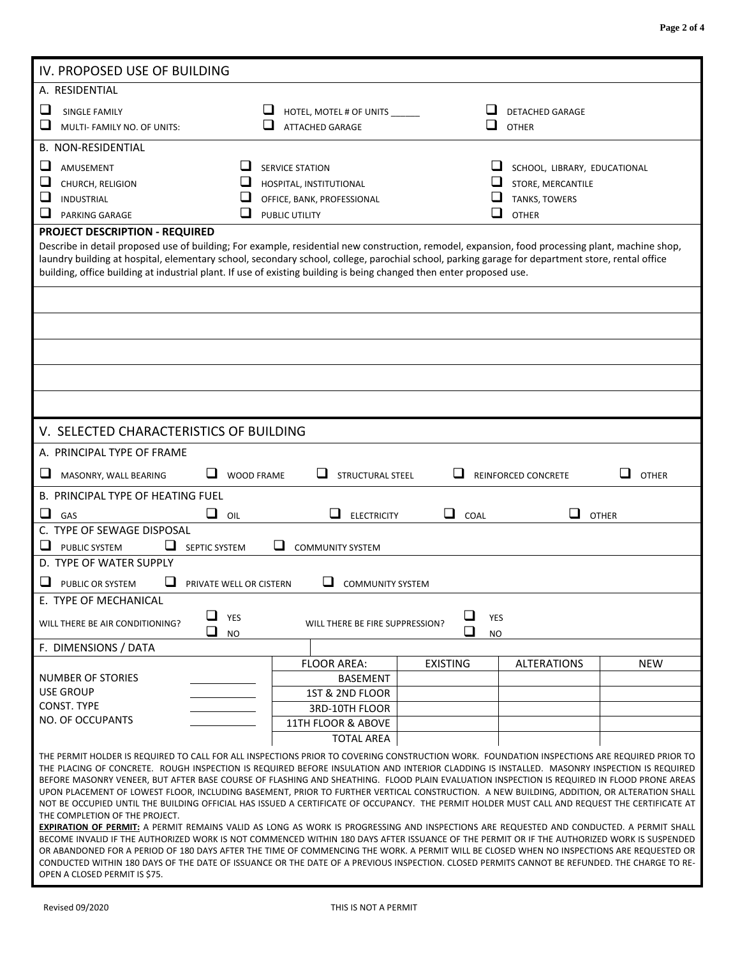| IV. PROPOSED USE OF BUILDING                                                                                                                                                                                                                                                                                                                                                                                                                                                                                                                                                                                                                                                                                                                                                                                                                                                                                                                                                                                                                                                                                                                                                                                  |                         |                                                         |                 |                                   |            |  |  |  |
|---------------------------------------------------------------------------------------------------------------------------------------------------------------------------------------------------------------------------------------------------------------------------------------------------------------------------------------------------------------------------------------------------------------------------------------------------------------------------------------------------------------------------------------------------------------------------------------------------------------------------------------------------------------------------------------------------------------------------------------------------------------------------------------------------------------------------------------------------------------------------------------------------------------------------------------------------------------------------------------------------------------------------------------------------------------------------------------------------------------------------------------------------------------------------------------------------------------|-------------------------|---------------------------------------------------------|-----------------|-----------------------------------|------------|--|--|--|
| A. RESIDENTIAL                                                                                                                                                                                                                                                                                                                                                                                                                                                                                                                                                                                                                                                                                                                                                                                                                                                                                                                                                                                                                                                                                                                                                                                                |                         |                                                         |                 |                                   |            |  |  |  |
| ⊔                                                                                                                                                                                                                                                                                                                                                                                                                                                                                                                                                                                                                                                                                                                                                                                                                                                                                                                                                                                                                                                                                                                                                                                                             |                         |                                                         |                 | <b>DETACHED GARAGE</b>            |            |  |  |  |
| <b>SINGLE FAMILY</b><br>ப<br>MULTI- FAMILY NO. OF UNITS:                                                                                                                                                                                                                                                                                                                                                                                                                                                                                                                                                                                                                                                                                                                                                                                                                                                                                                                                                                                                                                                                                                                                                      |                         | HOTEL, MOTEL # OF UNITS _____<br><b>ATTACHED GARAGE</b> | ப               | <b>OTHER</b>                      |            |  |  |  |
|                                                                                                                                                                                                                                                                                                                                                                                                                                                                                                                                                                                                                                                                                                                                                                                                                                                                                                                                                                                                                                                                                                                                                                                                               |                         |                                                         |                 |                                   |            |  |  |  |
| <b>B. NON-RESIDENTIAL</b>                                                                                                                                                                                                                                                                                                                                                                                                                                                                                                                                                                                                                                                                                                                                                                                                                                                                                                                                                                                                                                                                                                                                                                                     |                         |                                                         |                 |                                   |            |  |  |  |
| ப<br>AMUSEMENT                                                                                                                                                                                                                                                                                                                                                                                                                                                                                                                                                                                                                                                                                                                                                                                                                                                                                                                                                                                                                                                                                                                                                                                                | ப                       | <b>SERVICE STATION</b>                                  |                 | ⊔<br>SCHOOL, LIBRARY, EDUCATIONAL |            |  |  |  |
| ⊔<br>CHURCH, RELIGION                                                                                                                                                                                                                                                                                                                                                                                                                                                                                                                                                                                                                                                                                                                                                                                                                                                                                                                                                                                                                                                                                                                                                                                         | ⊔                       | HOSPITAL, INSTITUTIONAL                                 |                 | ⊔<br>STORE, MERCANTILE            |            |  |  |  |
| ⊔<br><b>INDUSTRIAL</b>                                                                                                                                                                                                                                                                                                                                                                                                                                                                                                                                                                                                                                                                                                                                                                                                                                                                                                                                                                                                                                                                                                                                                                                        |                         | OFFICE, BANK, PROFESSIONAL                              |                 | TANKS, TOWERS                     |            |  |  |  |
| ப<br>PARKING GARAGE                                                                                                                                                                                                                                                                                                                                                                                                                                                                                                                                                                                                                                                                                                                                                                                                                                                                                                                                                                                                                                                                                                                                                                                           | └                       | PUBLIC UTILITY<br><b>OTHER</b>                          |                 |                                   |            |  |  |  |
| <b>PROJECT DESCRIPTION - REQUIRED</b>                                                                                                                                                                                                                                                                                                                                                                                                                                                                                                                                                                                                                                                                                                                                                                                                                                                                                                                                                                                                                                                                                                                                                                         |                         |                                                         |                 |                                   |            |  |  |  |
| Describe in detail proposed use of building; For example, residential new construction, remodel, expansion, food processing plant, machine shop,<br>laundry building at hospital, elementary school, secondary school, college, parochial school, parking garage for department store, rental office<br>building, office building at industrial plant. If use of existing building is being changed then enter proposed use.                                                                                                                                                                                                                                                                                                                                                                                                                                                                                                                                                                                                                                                                                                                                                                                  |                         |                                                         |                 |                                   |            |  |  |  |
|                                                                                                                                                                                                                                                                                                                                                                                                                                                                                                                                                                                                                                                                                                                                                                                                                                                                                                                                                                                                                                                                                                                                                                                                               |                         |                                                         |                 |                                   |            |  |  |  |
|                                                                                                                                                                                                                                                                                                                                                                                                                                                                                                                                                                                                                                                                                                                                                                                                                                                                                                                                                                                                                                                                                                                                                                                                               |                         |                                                         |                 |                                   |            |  |  |  |
|                                                                                                                                                                                                                                                                                                                                                                                                                                                                                                                                                                                                                                                                                                                                                                                                                                                                                                                                                                                                                                                                                                                                                                                                               |                         |                                                         |                 |                                   |            |  |  |  |
|                                                                                                                                                                                                                                                                                                                                                                                                                                                                                                                                                                                                                                                                                                                                                                                                                                                                                                                                                                                                                                                                                                                                                                                                               |                         |                                                         |                 |                                   |            |  |  |  |
| V. SELECTED CHARACTERISTICS OF BUILDING                                                                                                                                                                                                                                                                                                                                                                                                                                                                                                                                                                                                                                                                                                                                                                                                                                                                                                                                                                                                                                                                                                                                                                       |                         |                                                         |                 |                                   |            |  |  |  |
| A. PRINCIPAL TYPE OF FRAME                                                                                                                                                                                                                                                                                                                                                                                                                                                                                                                                                                                                                                                                                                                                                                                                                                                                                                                                                                                                                                                                                                                                                                                    |                         |                                                         |                 |                                   |            |  |  |  |
| ⊔<br>ப<br>ப<br><b>WOOD FRAME</b><br>STRUCTURAL STEEL<br><b>OTHER</b><br>MASONRY, WALL BEARING<br>REINFORCED CONCRETE                                                                                                                                                                                                                                                                                                                                                                                                                                                                                                                                                                                                                                                                                                                                                                                                                                                                                                                                                                                                                                                                                          |                         |                                                         |                 |                                   |            |  |  |  |
| <b>B. PRINCIPAL TYPE OF HEATING FUEL</b>                                                                                                                                                                                                                                                                                                                                                                                                                                                                                                                                                                                                                                                                                                                                                                                                                                                                                                                                                                                                                                                                                                                                                                      |                         |                                                         |                 |                                   |            |  |  |  |
| ❏<br>⊔<br>GAS                                                                                                                                                                                                                                                                                                                                                                                                                                                                                                                                                                                                                                                                                                                                                                                                                                                                                                                                                                                                                                                                                                                                                                                                 | OIL                     | ப<br><b>ELECTRICITY</b>                                 | ப<br>COAL       | ப<br><b>OTHER</b>                 |            |  |  |  |
| C. TYPE OF SEWAGE DISPOSAL                                                                                                                                                                                                                                                                                                                                                                                                                                                                                                                                                                                                                                                                                                                                                                                                                                                                                                                                                                                                                                                                                                                                                                                    |                         |                                                         |                 |                                   |            |  |  |  |
| ⊔<br><b>PUBLIC SYSTEM</b><br>$\mathcal{L}_{\mathcal{A}}$<br>SEPTIC SYSTEM                                                                                                                                                                                                                                                                                                                                                                                                                                                                                                                                                                                                                                                                                                                                                                                                                                                                                                                                                                                                                                                                                                                                     |                         | ப<br><b>COMMUNITY SYSTEM</b>                            |                 |                                   |            |  |  |  |
| D. TYPE OF WATER SUPPLY                                                                                                                                                                                                                                                                                                                                                                                                                                                                                                                                                                                                                                                                                                                                                                                                                                                                                                                                                                                                                                                                                                                                                                                       |                         |                                                         |                 |                                   |            |  |  |  |
| ப<br>ப<br>PUBLIC OR SYSTEM                                                                                                                                                                                                                                                                                                                                                                                                                                                                                                                                                                                                                                                                                                                                                                                                                                                                                                                                                                                                                                                                                                                                                                                    | PRIVATE WELL OR CISTERN | <b>COMMUNITY SYSTEM</b>                                 |                 |                                   |            |  |  |  |
| E. TYPE OF MECHANICAL                                                                                                                                                                                                                                                                                                                                                                                                                                                                                                                                                                                                                                                                                                                                                                                                                                                                                                                                                                                                                                                                                                                                                                                         |                         |                                                         |                 |                                   |            |  |  |  |
| ❏<br>❏<br>YES<br><b>YES</b><br>WILL THERE BE AIR CONDITIONING?<br>WILL THERE BE FIRE SUPPRESSION?<br>❏<br>❏<br><b>NO</b><br><b>NO</b>                                                                                                                                                                                                                                                                                                                                                                                                                                                                                                                                                                                                                                                                                                                                                                                                                                                                                                                                                                                                                                                                         |                         |                                                         |                 |                                   |            |  |  |  |
| F. DIMENSIONS / DATA                                                                                                                                                                                                                                                                                                                                                                                                                                                                                                                                                                                                                                                                                                                                                                                                                                                                                                                                                                                                                                                                                                                                                                                          |                         |                                                         |                 |                                   |            |  |  |  |
|                                                                                                                                                                                                                                                                                                                                                                                                                                                                                                                                                                                                                                                                                                                                                                                                                                                                                                                                                                                                                                                                                                                                                                                                               |                         | <b>FLOOR AREA:</b>                                      | <b>EXISTING</b> | <b>ALTERATIONS</b>                | <b>NEW</b> |  |  |  |
| <b>NUMBER OF STORIES</b>                                                                                                                                                                                                                                                                                                                                                                                                                                                                                                                                                                                                                                                                                                                                                                                                                                                                                                                                                                                                                                                                                                                                                                                      |                         | <b>BASEMENT</b>                                         |                 |                                   |            |  |  |  |
| <b>USE GROUP</b>                                                                                                                                                                                                                                                                                                                                                                                                                                                                                                                                                                                                                                                                                                                                                                                                                                                                                                                                                                                                                                                                                                                                                                                              |                         | 1ST & 2ND FLOOR                                         |                 |                                   |            |  |  |  |
| CONST. TYPE                                                                                                                                                                                                                                                                                                                                                                                                                                                                                                                                                                                                                                                                                                                                                                                                                                                                                                                                                                                                                                                                                                                                                                                                   |                         | 3RD-10TH FLOOR                                          |                 |                                   |            |  |  |  |
| <b>NO. OF OCCUPANTS</b>                                                                                                                                                                                                                                                                                                                                                                                                                                                                                                                                                                                                                                                                                                                                                                                                                                                                                                                                                                                                                                                                                                                                                                                       |                         | 11TH FLOOR & ABOVE                                      |                 |                                   |            |  |  |  |
|                                                                                                                                                                                                                                                                                                                                                                                                                                                                                                                                                                                                                                                                                                                                                                                                                                                                                                                                                                                                                                                                                                                                                                                                               |                         | <b>TOTAL AREA</b>                                       |                 |                                   |            |  |  |  |
| THE PERMIT HOLDER IS REQUIRED TO CALL FOR ALL INSPECTIONS PRIOR TO COVERING CONSTRUCTION WORK. FOUNDATION INSPECTIONS ARE REQUIRED PRIOR TO<br>THE PLACING OF CONCRETE. ROUGH INSPECTION IS REQUIRED BEFORE INSULATION AND INTERIOR CLADDING IS INSTALLED. MASONRY INSPECTION IS REQUIRED<br>BEFORE MASONRY VENEER, BUT AFTER BASE COURSE OF FLASHING AND SHEATHING. FLOOD PLAIN EVALUATION INSPECTION IS REQUIRED IN FLOOD PRONE AREAS<br>UPON PLACEMENT OF LOWEST FLOOR, INCLUDING BASEMENT, PRIOR TO FURTHER VERTICAL CONSTRUCTION. A NEW BUILDING, ADDITION, OR ALTERATION SHALL<br>NOT BE OCCUPIED UNTIL THE BUILDING OFFICIAL HAS ISSUED A CERTIFICATE OF OCCUPANCY. THE PERMIT HOLDER MUST CALL AND REQUEST THE CERTIFICATE AT<br>THE COMPLETION OF THE PROJECT.<br>EXPIRATION OF PERMIT: A PERMIT REMAINS VALID AS LONG AS WORK IS PROGRESSING AND INSPECTIONS ARE REQUESTED AND CONDUCTED. A PERMIT SHALL<br>BECOME INVALID IF THE AUTHORIZED WORK IS NOT COMMENCED WITHIN 180 DAYS AFTER ISSUANCE OF THE PERMIT OR IF THE AUTHORIZED WORK IS SUSPENDED<br>OR ABANDONED FOR A PERIOD OF 180 DAYS AFTER THE TIME OF COMMENCING THE WORK. A PERMIT WILL BE CLOSED WHEN NO INSPECTIONS ARE REQUESTED OR |                         |                                                         |                 |                                   |            |  |  |  |
| CONDUCTED WITHIN 180 DAYS OF THE DATE OF ISSUANCE OR THE DATE OF A PREVIOUS INSPECTION. CLOSED PERMITS CANNOT BE REFUNDED. THE CHARGE TO RE-<br>OPEN A CLOSED PERMIT IS \$75.                                                                                                                                                                                                                                                                                                                                                                                                                                                                                                                                                                                                                                                                                                                                                                                                                                                                                                                                                                                                                                 |                         |                                                         |                 |                                   |            |  |  |  |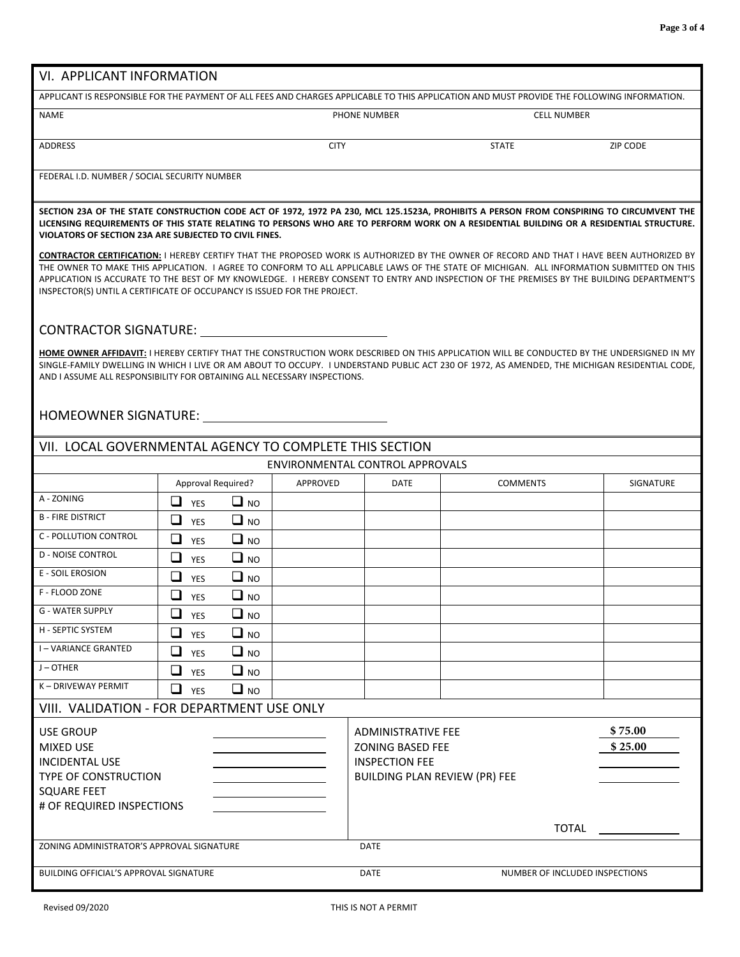| VI. APPLICANT INFORMATION                                                                                                                                                                                                                                                                                                                                                                                                                                                                                        |                                   |                                                                                                                |                                 |                    |                  |  |  |  |  |  |
|------------------------------------------------------------------------------------------------------------------------------------------------------------------------------------------------------------------------------------------------------------------------------------------------------------------------------------------------------------------------------------------------------------------------------------------------------------------------------------------------------------------|-----------------------------------|----------------------------------------------------------------------------------------------------------------|---------------------------------|--------------------|------------------|--|--|--|--|--|
| APPLICANT IS RESPONSIBLE FOR THE PAYMENT OF ALL FEES AND CHARGES APPLICABLE TO THIS APPLICATION AND MUST PROVIDE THE FOLLOWING INFORMATION.                                                                                                                                                                                                                                                                                                                                                                      |                                   |                                                                                                                |                                 |                    |                  |  |  |  |  |  |
| NAME                                                                                                                                                                                                                                                                                                                                                                                                                                                                                                             |                                   |                                                                                                                | PHONE NUMBER                    | <b>CELL NUMBER</b> |                  |  |  |  |  |  |
| <b>ADDRESS</b>                                                                                                                                                                                                                                                                                                                                                                                                                                                                                                   |                                   | <b>CITY</b>                                                                                                    |                                 | <b>STATE</b>       | <b>ZIP CODE</b>  |  |  |  |  |  |
| FEDERAL I.D. NUMBER / SOCIAL SECURITY NUMBER                                                                                                                                                                                                                                                                                                                                                                                                                                                                     |                                   |                                                                                                                |                                 |                    |                  |  |  |  |  |  |
| SECTION 23A OF THE STATE CONSTRUCTION CODE ACT OF 1972, 1972 PA 230, MCL 125.1523A, PROHIBITS A PERSON FROM CONSPIRING TO CIRCUMVENT THE<br>LICENSING REQUIREMENTS OF THIS STATE RELATING TO PERSONS WHO ARE TO PERFORM WORK ON A RESIDENTIAL BUILDING OR A RESIDENTIAL STRUCTURE.<br>VIOLATORS OF SECTION 23A ARE SUBJECTED TO CIVIL FINES.                                                                                                                                                                     |                                   |                                                                                                                |                                 |                    |                  |  |  |  |  |  |
| CONTRACTOR CERTIFICATION: I HEREBY CERTIFY THAT THE PROPOSED WORK IS AUTHORIZED BY THE OWNER OF RECORD AND THAT I HAVE BEEN AUTHORIZED BY<br>THE OWNER TO MAKE THIS APPLICATION. I AGREE TO CONFORM TO ALL APPLICABLE LAWS OF THE STATE OF MICHIGAN. ALL INFORMATION SUBMITTED ON THIS<br>APPLICATION IS ACCURATE TO THE BEST OF MY KNOWLEDGE. I HEREBY CONSENT TO ENTRY AND INSPECTION OF THE PREMISES BY THE BUILDING DEPARTMENT'S<br>INSPECTOR(S) UNTIL A CERTIFICATE OF OCCUPANCY IS ISSUED FOR THE PROJECT. |                                   |                                                                                                                |                                 |                    |                  |  |  |  |  |  |
| <b>CONTRACTOR SIGNATURE:</b>                                                                                                                                                                                                                                                                                                                                                                                                                                                                                     |                                   |                                                                                                                |                                 |                    |                  |  |  |  |  |  |
| HOME OWNER AFFIDAVIT: I HEREBY CERTIFY THAT THE CONSTRUCTION WORK DESCRIBED ON THIS APPLICATION WILL BE CONDUCTED BY THE UNDERSIGNED IN MY<br>SINGLE-FAMILY DWELLING IN WHICH I LIVE OR AM ABOUT TO OCCUPY. I UNDERSTAND PUBLIC ACT 230 OF 1972, AS AMENDED, THE MICHIGAN RESIDENTIAL CODE,<br>AND I ASSUME ALL RESPONSIBILITY FOR OBTAINING ALL NECESSARY INSPECTIONS.                                                                                                                                          |                                   |                                                                                                                |                                 |                    |                  |  |  |  |  |  |
| HOMEOWNER SIGNATURE:                                                                                                                                                                                                                                                                                                                                                                                                                                                                                             |                                   |                                                                                                                |                                 |                    |                  |  |  |  |  |  |
| VII. LOCAL GOVERNMENTAL AGENCY TO COMPLETE THIS SECTION                                                                                                                                                                                                                                                                                                                                                                                                                                                          |                                   |                                                                                                                |                                 |                    |                  |  |  |  |  |  |
|                                                                                                                                                                                                                                                                                                                                                                                                                                                                                                                  |                                   |                                                                                                                | ENVIRONMENTAL CONTROL APPROVALS |                    |                  |  |  |  |  |  |
|                                                                                                                                                                                                                                                                                                                                                                                                                                                                                                                  | Approval Required?                | APPROVED                                                                                                       | <b>DATE</b>                     | <b>COMMENTS</b>    | <b>SIGNATURE</b> |  |  |  |  |  |
| A - ZONING                                                                                                                                                                                                                                                                                                                                                                                                                                                                                                       | 0<br>$\Box$ NO<br><b>YES</b>      |                                                                                                                |                                 |                    |                  |  |  |  |  |  |
| <b>B-FIRE DISTRICT</b>                                                                                                                                                                                                                                                                                                                                                                                                                                                                                           | ❏<br>$\Box$ NO<br><b>YES</b>      |                                                                                                                |                                 |                    |                  |  |  |  |  |  |
| <b>C - POLLUTION CONTROL</b>                                                                                                                                                                                                                                                                                                                                                                                                                                                                                     | ❏<br>$\Box$ NO<br>YES             |                                                                                                                |                                 |                    |                  |  |  |  |  |  |
| <b>D - NOISE CONTROL</b>                                                                                                                                                                                                                                                                                                                                                                                                                                                                                         | $\Box$<br>$\Box$ NO<br><b>YES</b> |                                                                                                                |                                 |                    |                  |  |  |  |  |  |
| E - SOIL EROSION                                                                                                                                                                                                                                                                                                                                                                                                                                                                                                 | ❏<br>$\Box$ NO<br><b>YES</b>      |                                                                                                                |                                 |                    |                  |  |  |  |  |  |
| F - FLOOD ZONE                                                                                                                                                                                                                                                                                                                                                                                                                                                                                                   | ❏<br>$\Box$ NO<br>YES             |                                                                                                                |                                 |                    |                  |  |  |  |  |  |
| G - WATER SUPPLY                                                                                                                                                                                                                                                                                                                                                                                                                                                                                                 | ⊔<br>$\Box$ NO<br>YES             |                                                                                                                |                                 |                    |                  |  |  |  |  |  |
| H - SEPTIC SYSTEM                                                                                                                                                                                                                                                                                                                                                                                                                                                                                                | ⊔<br>$\Box$ NO<br>YES             |                                                                                                                |                                 |                    |                  |  |  |  |  |  |
| <b>I-VARIANCE GRANTED</b>                                                                                                                                                                                                                                                                                                                                                                                                                                                                                        | ❏<br>$\Box$ NO<br>YES             |                                                                                                                |                                 |                    |                  |  |  |  |  |  |
| J-OTHER                                                                                                                                                                                                                                                                                                                                                                                                                                                                                                          | ❏<br>$\Box$ NO<br><b>YES</b>      |                                                                                                                |                                 |                    |                  |  |  |  |  |  |
| K-DRIVEWAY PERMIT                                                                                                                                                                                                                                                                                                                                                                                                                                                                                                | ❏<br>$\Box$ NO<br><b>YES</b>      |                                                                                                                |                                 |                    |                  |  |  |  |  |  |
| VIII. VALIDATION - FOR DEPARTMENT USE ONLY                                                                                                                                                                                                                                                                                                                                                                                                                                                                       |                                   |                                                                                                                |                                 |                    |                  |  |  |  |  |  |
| <b>USE GROUP</b><br><b>MIXED USE</b><br><b>INCIDENTAL USE</b><br><b>TYPE OF CONSTRUCTION</b><br><b>SQUARE FEET</b>                                                                                                                                                                                                                                                                                                                                                                                               |                                   | <b>ADMINISTRATIVE FEE</b><br><b>ZONING BASED FEE</b><br><b>INSPECTION FEE</b><br>BUILDING PLAN REVIEW (PR) FEE |                                 | \$75.00<br>\$25.00 |                  |  |  |  |  |  |
| # OF REQUIRED INSPECTIONS                                                                                                                                                                                                                                                                                                                                                                                                                                                                                        |                                   |                                                                                                                |                                 |                    |                  |  |  |  |  |  |
|                                                                                                                                                                                                                                                                                                                                                                                                                                                                                                                  |                                   |                                                                                                                |                                 | <b>TOTAL</b>       |                  |  |  |  |  |  |
| ZONING ADMINISTRATOR'S APPROVAL SIGNATURE                                                                                                                                                                                                                                                                                                                                                                                                                                                                        |                                   |                                                                                                                | <b>DATE</b>                     |                    |                  |  |  |  |  |  |
| BUILDING OFFICIAL'S APPROVAL SIGNATURE<br><b>DATE</b><br>NUMBER OF INCLUDED INSPECTIONS                                                                                                                                                                                                                                                                                                                                                                                                                          |                                   |                                                                                                                |                                 |                    |                  |  |  |  |  |  |